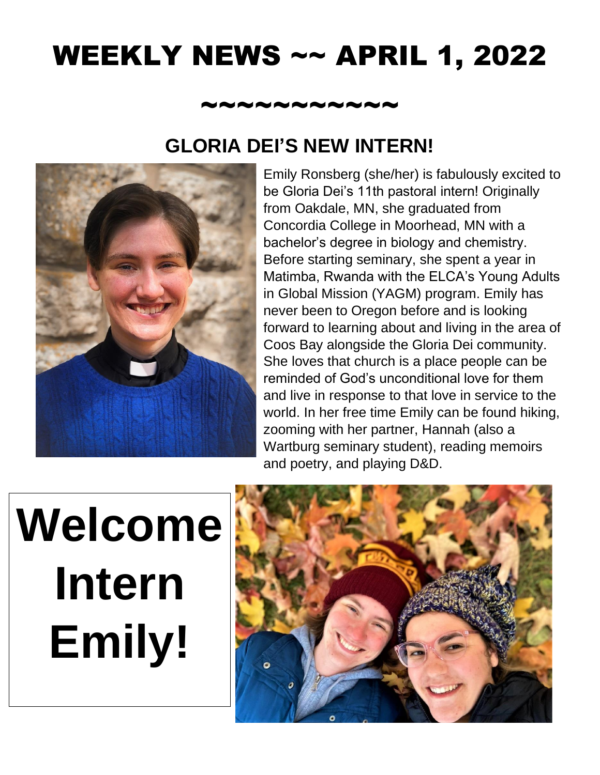## WEEKLY NEWS ~~ APRIL 1, 2022

#### ~~~~~~~~~~~

#### **GLORIA DEI'S NEW INTERN!**



Emily Ronsberg (she/her) is fabulously excited to be Gloria Dei's 11th pastoral intern! Originally from Oakdale, MN, she graduated from Concordia College in Moorhead, MN with a bachelor's degree in biology and chemistry. Before starting seminary, she spent a year in Matimba, Rwanda with the ELCA's Young Adults in Global Mission (YAGM) program. Emily has never been to Oregon before and is looking forward to learning about and living in the area of Coos Bay alongside the Gloria Dei community. She loves that church is a place people can be reminded of God's unconditional love for them and live in response to that love in service to the world. In her free time Emily can be found hiking, zooming with her partner, Hannah (also a Wartburg seminary student), reading memoirs and poetry, and playing D&D.

# **Welcome Intern Emily!**

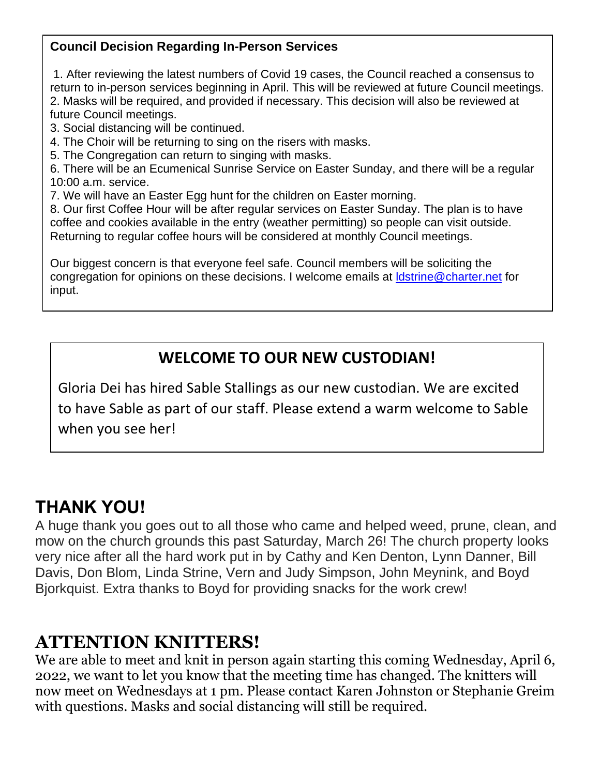#### **Council Decision Regarding In-Person Services**

1. After reviewing the latest numbers of Covid 19 cases, the Council reached a consensus to return to in-person services beginning in April. This will be reviewed at future Council meetings. 2. Masks will be required, and provided if necessary. This decision will also be reviewed at future Council meetings.

- 3. Social distancing will be continued.
- 4. The Choir will be returning to sing on the risers with masks.
- 5. The Congregation can return to singing with masks.

6. There will be an Ecumenical Sunrise Service on Easter Sunday, and there will be a regular 10:00 a.m. service.

7. We will have an Easter Egg hunt for the children on Easter morning.

8. Our first Coffee Hour will be after regular services on Easter Sunday. The plan is to have coffee and cookies available in the entry (weather permitting) so people can visit outside. Returning to regular coffee hours will be considered at monthly Council meetings.

Our biggest concern is that everyone feel safe. Council members will be soliciting the congregation for opinions on these decisions. I welcome emails at Idstrine@charter.net for input.

#### **WELCOME TO OUR NEW CUSTODIAN!**

Gloria Dei has hired Sable Stallings as our new custodian. We are excited to have Sable as part of our staff. Please extend a warm welcome to Sable when you see her!

#### **THANK YOU!**

A huge thank you goes out to all those who came and helped weed, prune, clean, and mow on the church grounds this past Saturday, March 26! The church property looks very nice after all the hard work put in by Cathy and Ken Denton, Lynn Danner, Bill Davis, Don Blom, Linda Strine, Vern and Judy Simpson, John Meynink, and Boyd Bjorkquist. Extra thanks to Boyd for providing snacks for the work crew!

#### **ATTENTION KNITTERS!**

We are able to meet and knit in person again starting this coming Wednesday, April 6, 2022, we want to let you know that the meeting time has changed. The knitters will now meet on Wednesdays at 1 pm. Please contact Karen Johnston or Stephanie Greim with questions. Masks and social distancing will still be required.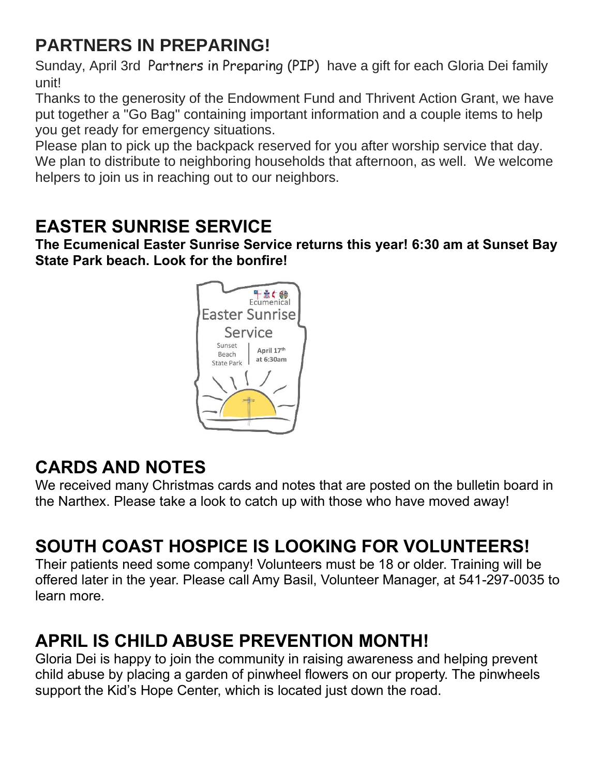## **PARTNERS IN PREPARING!**

Sunday, April 3rd Partners in Preparing (PIP) have a gift for each Gloria Dei family unit!

Thanks to the generosity of the Endowment Fund and Thrivent Action Grant, we have put together a "Go Bag" containing important information and a couple items to help you get ready for emergency situations.

Please plan to pick up the backpack reserved for you after worship service that day. We plan to distribute to neighboring households that afternoon, as well. We welcome helpers to join us in reaching out to our neighbors.

### **EASTER SUNRISE SERVICE**

**The Ecumenical Easter Sunrise Service returns this year! 6:30 am at Sunset Bay State Park beach. Look for the bonfire!** 



#### **CARDS AND NOTES**

We received many Christmas cards and notes that are posted on the bulletin board in the Narthex. Please take a look to catch up with those who have moved away!

## **SOUTH COAST HOSPICE IS LOOKING FOR VOLUNTEERS!**

Their patients need some company! Volunteers must be 18 or older. Training will be offered later in the year. Please call Amy Basil, Volunteer Manager, at 541-297-0035 to learn more.

## **APRIL IS CHILD ABUSE PREVENTION MONTH!**

Gloria Dei is happy to join the community in raising awareness and helping prevent child abuse by placing a garden of pinwheel flowers on our property. The pinwheels support the Kid's Hope Center, which is located just down the road.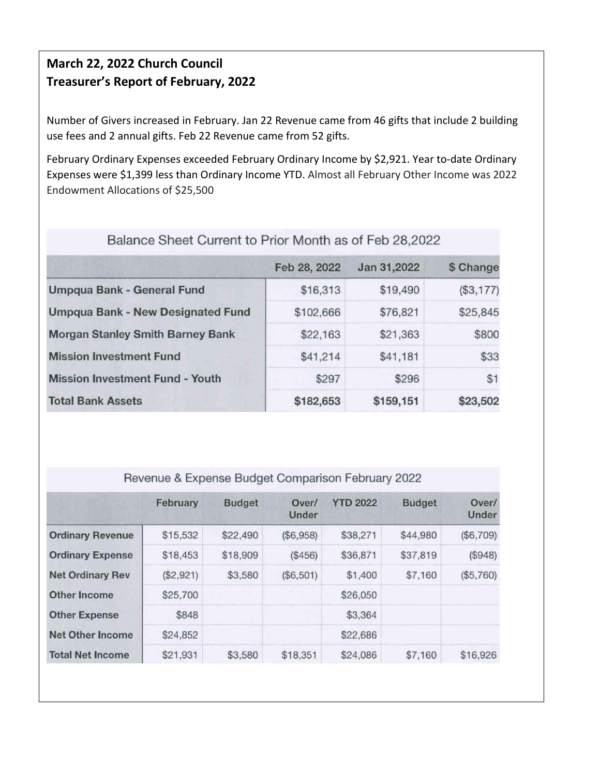#### **March 22, 2022 Church Council Treasurer's Report of February, 2022**

Number of Givers increased in February. Jan 22 Revenue came from 46 gifts that include 2 building use fees and 2 annual gifts. Feb 22 Revenue came from 52 gifts.

February Ordinary Expenses exceeded February Ordinary Income by \$2,921. Year to-date Ordinary Expenses were \$1,399 less than Ordinary Income YTD. Almost all February Other Income was 2022 Endowment Allocations of \$25,500

|                                          | Feb 28, 2022 | Jan 31,2022 | \$ Change |  |  |
|------------------------------------------|--------------|-------------|-----------|--|--|
| <b>Umpqua Bank - General Fund</b>        | \$16,313     | \$19,490    | (\$3,177) |  |  |
| <b>Umpqua Bank - New Designated Fund</b> | \$102,666    | \$76,821    | \$25,845  |  |  |
| <b>Morgan Stanley Smith Barney Bank</b>  | \$22,163     | \$21,363    | \$800     |  |  |
| <b>Mission Investment Fund</b>           | \$41,214     | \$41,181    | \$33      |  |  |
| <b>Mission Investment Fund - Youth</b>   | \$297        | \$296       | \$1       |  |  |
| <b>Total Bank Assets</b>                 | \$182,653    | \$159,151   | \$23,502  |  |  |

#### Balance Sheet Current to Prior Month as of Feb 28,2022

#### Revenue & Expense Budget Comparison February 2022

|                         | February  | <b>Budget</b> | Over/<br>Under | <b>YTD 2022</b> | <b>Budget</b> | Over/<br>Under |
|-------------------------|-----------|---------------|----------------|-----------------|---------------|----------------|
| <b>Ordinary Revenue</b> | \$15,532  | \$22,490      | (\$6,958)      | \$38,271        | \$44,980      | (\$6,709)      |
| <b>Ordinary Expense</b> | \$18,453  | \$18,909      | (\$456)        | \$36,871        | \$37,819      | (\$948)        |
| <b>Net Ordinary Rev</b> | (\$2,921) | \$3,580       | (\$6,501)      | \$1,400         | \$7,160       | (\$5,760)      |
| <b>Other Income</b>     | \$25,700  |               |                | \$26,050        |               |                |
| <b>Other Expense</b>    | \$848     |               |                | \$3,364         |               |                |
| Net Other Income        | \$24,852  |               |                | \$22,686        |               |                |
| <b>Total Net Income</b> | \$21,931  | \$3,580       | \$18,351       | \$24,086        | \$7,160       | \$16,926       |